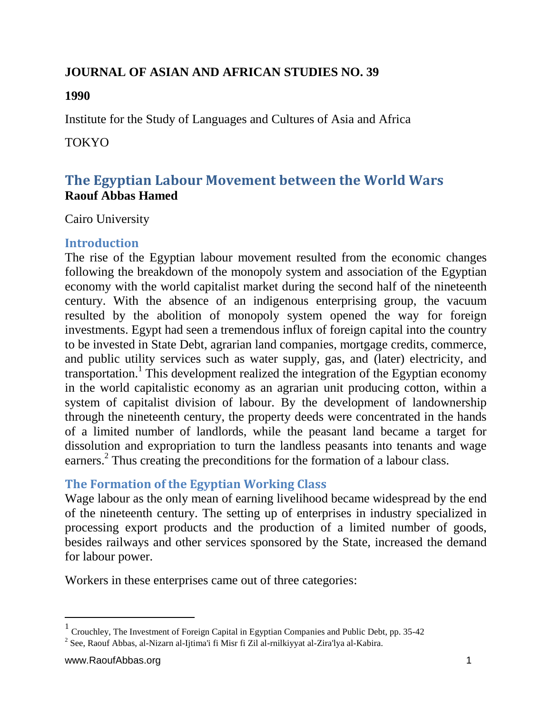## **JOURNAL OF ASIAN AND AFRICAN STUDIES NO. 39**

#### **1990**

Institute for the Study of Languages and Cultures of Asia and Africa

#### **TOKYO**

# **The Egyptian Labour Movement between the World Wars Raouf Abbas Hamed**

Cairo University

## **Introduction**

The rise of the Egyptian labour movement resulted from the economic changes following the breakdown of the monopoly system and association of the Egyptian economy with the world capitalist market during the second half of the nineteenth century. With the absence of an indigenous enterprising group, the vacuum resulted by the abolition of monopoly system opened the way for foreign investments. Egypt had seen a tremendous influx of foreign capital into the country to be invested in State Debt, agrarian land companies, mortgage credits, commerce, and public utility services such as water supply, gas, and (later) electricity, and transportation.<sup>1</sup> This development realized the integration of the Egyptian economy in the world capitalistic economy as an agrarian unit producing cotton, within a system of capitalist division of labour. By the development of landownership through the nineteenth century, the property deeds were concentrated in the hands of a limited number of landlords, while the peasant land became a target for dissolution and expropriation to turn the landless peasants into tenants and wage earners.<sup>2</sup> Thus creating the preconditions for the formation of a labour class.

## **The Formation of the Egyptian Working Class**

Wage labour as the only mean of earning livelihood became widespread by the end of the nineteenth century. The setting up of enterprises in industry specialized in processing export products and the production of a limited number of goods, besides railways and other services sponsored by the State, increased the demand for labour power.

Workers in these enterprises came out of three categories:

<sup>&</sup>lt;sup>1</sup> Crouchley, The Investment of Foreign Capital in Egyptian Companies and Public Debt, pp. 35-42

<sup>&</sup>lt;sup>2</sup> See, Raouf Abbas, al-Nizarn al-Ijtima'i fi Misr fi Zil al-rnilkiyyat al-Zira'lya al-Kabira.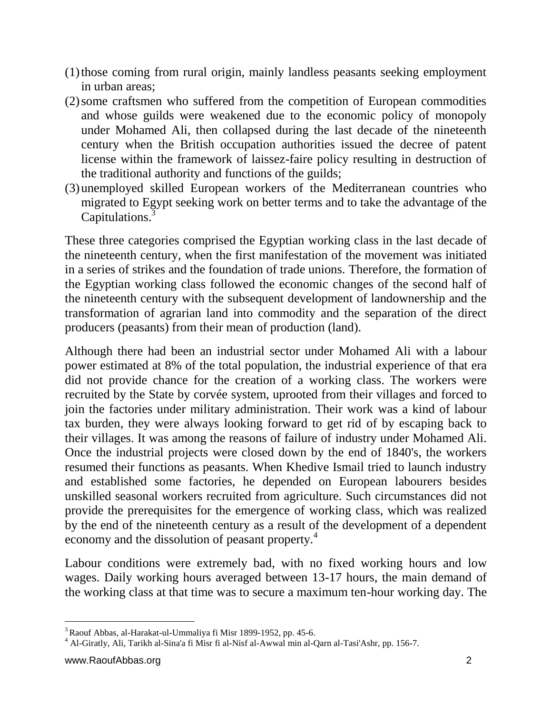- (1)those coming from rural origin, mainly landless peasants seeking employment in urban areas;
- (2)some craftsmen who suffered from the competition of European commodities and whose guilds were weakened due to the economic policy of monopoly under Mohamed Ali, then collapsed during the last decade of the nineteenth century when the British occupation authorities issued the decree of patent license within the framework of laissez-faire policy resulting in destruction of the traditional authority and functions of the guilds;
- (3)unemployed skilled European workers of the Mediterranean countries who migrated to Egypt seeking work on better terms and to take the advantage of the Capitulations.<sup>3</sup>

These three categories comprised the Egyptian working class in the last decade of the nineteenth century, when the first manifestation of the movement was initiated in a series of strikes and the foundation of trade unions. Therefore, the formation of the Egyptian working class followed the economic changes of the second half of the nineteenth century with the subsequent development of landownership and the transformation of agrarian land into commodity and the separation of the direct producers (peasants) from their mean of production (land).

Although there had been an industrial sector under Mohamed Ali with a labour power estimated at 8% of the total population, the industrial experience of that era did not provide chance for the creation of a working class. The workers were recruited by the State by corvée system, uprooted from their villages and forced to join the factories under military administration. Their work was a kind of labour tax burden, they were always looking forward to get rid of by escaping back to their villages. It was among the reasons of failure of industry under Mohamed Ali. Once the industrial projects were closed down by the end of 1840's, the workers resumed their functions as peasants. When Khedive Ismail tried to launch industry and established some factories, he depended on European labourers besides unskilled seasonal workers recruited from agriculture. Such circumstances did not provide the prerequisites for the emergence of working class, which was realized by the end of the nineteenth century as a result of the development of a dependent economy and the dissolution of peasant property.<sup>4</sup>

Labour conditions were extremely bad, with no fixed working hours and low wages. Daily working hours averaged between 13-17 hours, the main demand of the working class at that time was to secure a maximum ten-hour working day. The

l  $3$  Raouf Abbas, al-Harakat-ul-Ummaliya fi Misr 1899-1952, pp. 45-6.

<sup>&</sup>lt;sup>4</sup> Al-Giratly, Ali, Tarikh al-Sina'a fi Misr fi al-Nisf al-Awwal min al-Qarn al-Tasi'Ashr, pp. 156-7.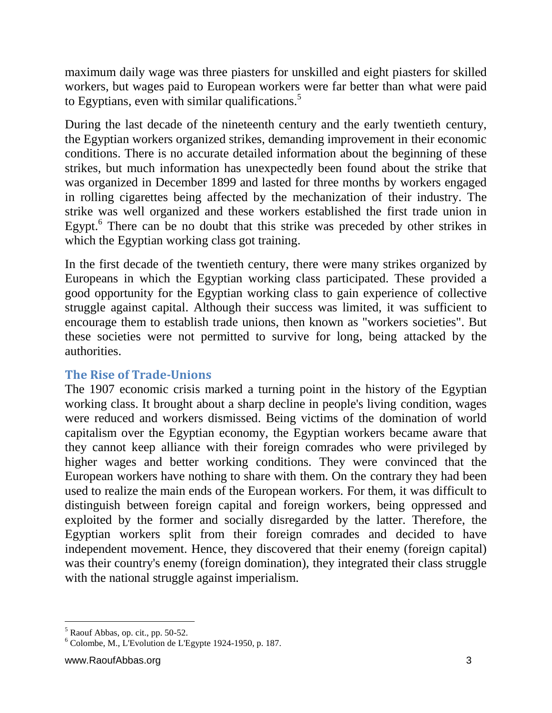maximum daily wage was three piasters for unskilled and eight piasters for skilled workers, but wages paid to European workers were far better than what were paid to Egyptians, even with similar qualifications. $5$ 

During the last decade of the nineteenth century and the early twentieth century, the Egyptian workers organized strikes, demanding improvement in their economic conditions. There is no accurate detailed information about the beginning of these strikes, but much information has unexpectedly been found about the strike that was organized in December 1899 and lasted for three months by workers engaged in rolling cigarettes being affected by the mechanization of their industry. The strike was well organized and these workers established the first trade union in Egypt.<sup>6</sup> There can be no doubt that this strike was preceded by other strikes in which the Egyptian working class got training.

In the first decade of the twentieth century, there were many strikes organized by Europeans in which the Egyptian working class participated. These provided a good opportunity for the Egyptian working class to gain experience of collective struggle against capital. Although their success was limited, it was sufficient to encourage them to establish trade unions, then known as "workers societies". But these societies were not permitted to survive for long, being attacked by the authorities.

## **The Rise of Trade-Unions**

The 1907 economic crisis marked a turning point in the history of the Egyptian working class. It brought about a sharp decline in people's living condition, wages were reduced and workers dismissed. Being victims of the domination of world capitalism over the Egyptian economy, the Egyptian workers became aware that they cannot keep alliance with their foreign comrades who were privileged by higher wages and better working conditions. They were convinced that the European workers have nothing to share with them. On the contrary they had been used to realize the main ends of the European workers. For them, it was difficult to distinguish between foreign capital and foreign workers, being oppressed and exploited by the former and socially disregarded by the latter. Therefore, the Egyptian workers split from their foreign comrades and decided to have independent movement. Hence, they discovered that their enemy (foreign capital) was their country's enemy (foreign domination), they integrated their class struggle with the national struggle against imperialism.

l  $<sup>5</sup>$  Raouf Abbas, op. cit., pp. 50-52.</sup>

 $6$  Colombe, M., L'Evolution de L'Egypte 1924-1950, p. 187.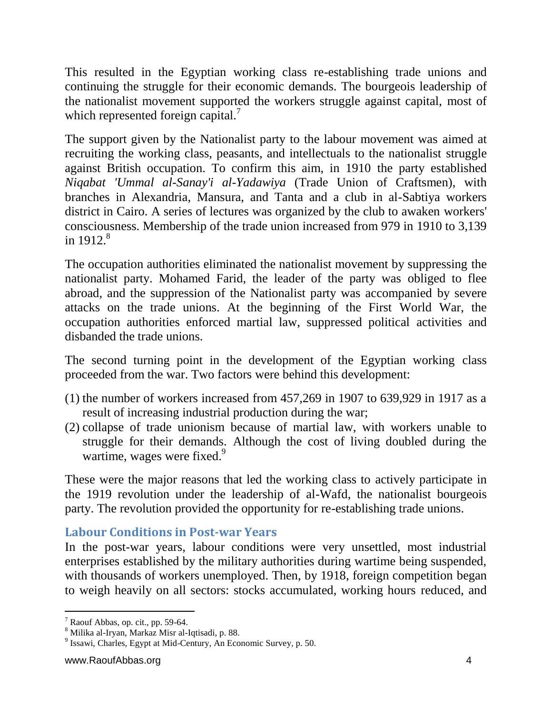This resulted in the Egyptian working class re-establishing trade unions and continuing the struggle for their economic demands. The bourgeois leadership of the nationalist movement supported the workers struggle against capital, most of which represented foreign capital.<sup>7</sup>

The support given by the Nationalist party to the labour movement was aimed at recruiting the working class, peasants, and intellectuals to the nationalist struggle against British occupation. To confirm this aim, in 1910 the party established *Niqabat 'Ummal al-Sanay'i al-Yadawiya* (Trade Union of Craftsmen), with branches in Alexandria, Mansura, and Tanta and a club in al-Sabtiya workers district in Cairo. A series of lectures was organized by the club to awaken workers' consciousness. Membership of the trade union increased from 979 in 1910 to 3,139 in  $1912<sup>8</sup>$ 

The occupation authorities eliminated the nationalist movement by suppressing the nationalist party. Mohamed Farid, the leader of the party was obliged to flee abroad, and the suppression of the Nationalist party was accompanied by severe attacks on the trade unions. At the beginning of the First World War, the occupation authorities enforced martial law, suppressed political activities and disbanded the trade unions.

The second turning point in the development of the Egyptian working class proceeded from the war. Two factors were behind this development:

- (1) the number of workers increased from 457,269 in 1907 to 639,929 in 1917 as a result of increasing industrial production during the war;
- (2) collapse of trade unionism because of martial law, with workers unable to struggle for their demands. Although the cost of living doubled during the wartime, wages were fixed.<sup>9</sup>

These were the major reasons that led the working class to actively participate in the 1919 revolution under the leadership of al-Wafd, the nationalist bourgeois party. The revolution provided the opportunity for re-establishing trade unions.

## **Labour Conditions in Post-war Years**

In the post-war years, labour conditions were very unsettled, most industrial enterprises established by the military authorities during wartime being suspended, with thousands of workers unemployed. Then, by 1918, foreign competition began to weigh heavily on all sectors: stocks accumulated, working hours reduced, and

 $\overline{a}$  $<sup>7</sup>$  Raouf Abbas, op. cit., pp. 59-64.</sup>

<sup>8</sup> Milika al-Iryan, Markaz Misr al-Iqtisadi, p. 88.

<sup>9</sup> Issawi, Charles, Egypt at Mid-Century, An Economic Survey, p. 50.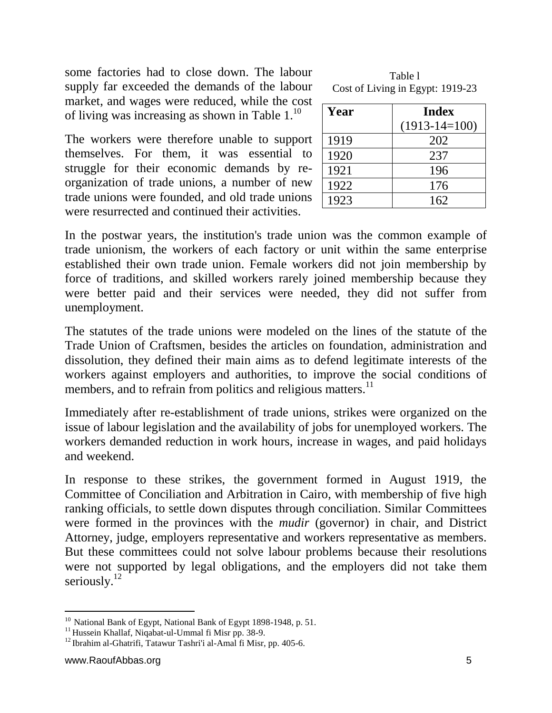some factories had to close down. The labour supply far exceeded the demands of the labour market, and wages were reduced, while the cost of living was increasing as shown in Table  $1<sup>10</sup>$ 

The workers were therefore unable to support themselves. For them, it was essential to struggle for their economic demands by reorganization of trade unions, a number of new trade unions were founded, and old trade unions were resurrected and continued their activities.

| Table 1                          |
|----------------------------------|
| Cost of Living in Egypt: 1919-23 |

| Year | <b>Index</b>    |
|------|-----------------|
|      | $(1913-14=100)$ |
| 1919 | 202             |
| 1920 | 237             |
| 1921 | 196             |
| 1922 | 176             |
| 1923 | 162.            |

In the postwar years, the institution's trade union was the common example of trade unionism, the workers of each factory or unit within the same enterprise established their own trade union. Female workers did not join membership by force of traditions, and skilled workers rarely joined membership because they were better paid and their services were needed, they did not suffer from unemployment.

The statutes of the trade unions were modeled on the lines of the statute of the Trade Union of Craftsmen, besides the articles on foundation, administration and dissolution, they defined their main aims as to defend legitimate interests of the workers against employers and authorities, to improve the social conditions of members, and to refrain from politics and religious matters.<sup>11</sup>

Immediately after re-establishment of trade unions, strikes were organized on the issue of labour legislation and the availability of jobs for unemployed workers. The workers demanded reduction in work hours, increase in wages, and paid holidays and weekend.

In response to these strikes, the government formed in August 1919, the Committee of Conciliation and Arbitration in Cairo, with membership of five high ranking officials, to settle down disputes through conciliation. Similar Committees were formed in the provinces with the *mudir* (governor) in chair, and District Attorney, judge, employers representative and workers representative as members. But these committees could not solve labour problems because their resolutions were not supported by legal obligations, and the employers did not take them seriously.<sup>12</sup>

 $\overline{a}$ <sup>10</sup> National Bank of Egypt, National Bank of Egypt 1898-1948, p. 51.

<sup>&</sup>lt;sup>11</sup> Hussein Khallaf, Niqabat-ul-Ummal fi Misr pp. 38-9.

 $12$  Ibrahim al-Ghatrifi, Tatawur Tashri'i al-Amal fi Misr, pp. 405-6.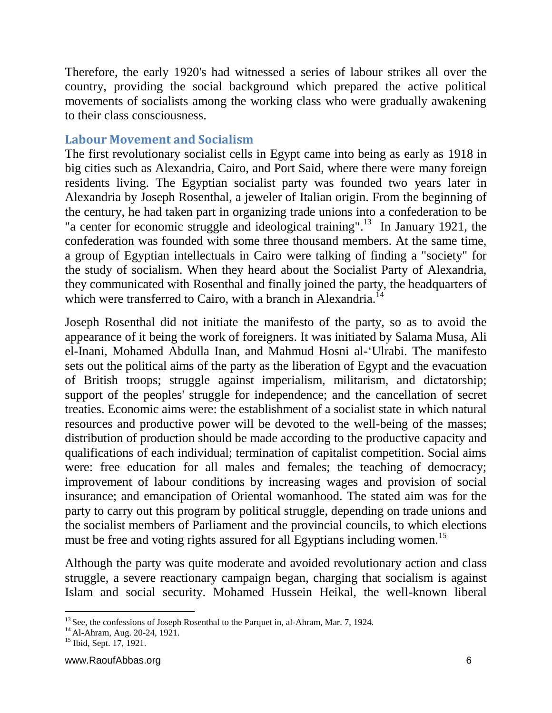Therefore, the early 1920's had witnessed a series of labour strikes all over the country, providing the social background which prepared the active political movements of socialists among the working class who were gradually awakening to their class consciousness.

#### **Labour Movement and Socialism**

The first revolutionary socialist cells in Egypt came into being as early as 1918 in big cities such as Alexandria, Cairo, and Port Said, where there were many foreign residents living. The Egyptian socialist party was founded two years later in Alexandria by Joseph Rosenthal, a jeweler of Italian origin. From the beginning of the century, he had taken part in organizing trade unions into a confederation to be "a center for economic struggle and ideological training".<sup>13</sup> In January 1921, the confederation was founded with some three thousand members. At the same time, a group of Egyptian intellectuals in Cairo were talking of finding a "society" for the study of socialism. When they heard about the Socialist Party of Alexandria, they communicated with Rosenthal and finally joined the party, the headquarters of which were transferred to Cairo, with a branch in Alexandria.<sup>14</sup>

Joseph Rosenthal did not initiate the manifesto of the party, so as to avoid the appearance of it being the work of foreigners. It was initiated by Salama Musa, Ali el-Inani, Mohamed Abdulla Inan, and Mahmud Hosni al-'Ulrabi. The manifesto sets out the political aims of the party as the liberation of Egypt and the evacuation of British troops; struggle against imperialism, militarism, and dictatorship; support of the peoples' struggle for independence; and the cancellation of secret treaties. Economic aims were: the establishment of a socialist state in which natural resources and productive power will be devoted to the well-being of the masses; distribution of production should be made according to the productive capacity and qualifications of each individual; termination of capitalist competition. Social aims were: free education for all males and females; the teaching of democracy; improvement of labour conditions by increasing wages and provision of social insurance; and emancipation of Oriental womanhood. The stated aim was for the party to carry out this program by political struggle, depending on trade unions and the socialist members of Parliament and the provincial councils, to which elections must be free and voting rights assured for all Egyptians including women.<sup>15</sup>

Although the party was quite moderate and avoided revolutionary action and class struggle, a severe reactionary campaign began, charging that socialism is against Islam and social security. Mohamed Hussein Heikal, the well-known liberal

 $\overline{a}$ <sup>13</sup> See, the confessions of Joseph Rosenthal to the Parquet in, al-Ahram, Mar. 7, 1924.

<sup>&</sup>lt;sup>14</sup> Al-Ahram, Aug. 20-24, 1921.

<sup>&</sup>lt;sup>15</sup> Ibid, Sept. 17, 1921.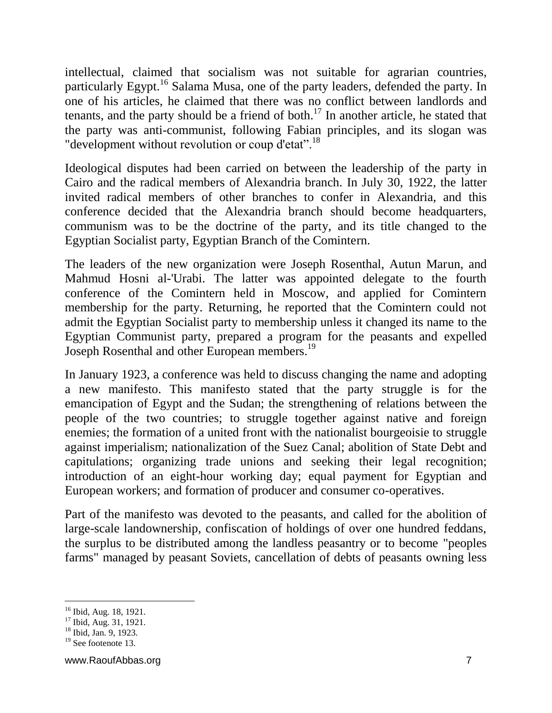intellectual, claimed that socialism was not suitable for agrarian countries, particularly Egypt.<sup>16</sup> Salama Musa, one of the party leaders, defended the party. In one of his articles, he claimed that there was no conflict between landlords and tenants, and the party should be a friend of both.<sup>17</sup> In another article, he stated that the party was anti-communist, following Fabian principles, and its slogan was "development without revolution or coup d'etat".<sup>18</sup>

Ideological disputes had been carried on between the leadership of the party in Cairo and the radical members of Alexandria branch. In July 30, 1922, the latter invited radical members of other branches to confer in Alexandria, and this conference decided that the Alexandria branch should become headquarters, communism was to be the doctrine of the party, and its title changed to the Egyptian Socialist party, Egyptian Branch of the Comintern.

The leaders of the new organization were Joseph Rosenthal, Autun Marun, and Mahmud Hosni al-'Urabi. The latter was appointed delegate to the fourth conference of the Comintern held in Moscow, and applied for Comintern membership for the party. Returning, he reported that the Comintern could not admit the Egyptian Socialist party to membership unless it changed its name to the Egyptian Communist party, prepared a program for the peasants and expelled Joseph Rosenthal and other European members.<sup>19</sup>

In January 1923, a conference was held to discuss changing the name and adopting a new manifesto. This manifesto stated that the party struggle is for the emancipation of Egypt and the Sudan; the strengthening of relations between the people of the two countries; to struggle together against native and foreign enemies; the formation of a united front with the nationalist bourgeoisie to struggle against imperialism; nationalization of the Suez Canal; abolition of State Debt and capitulations; organizing trade unions and seeking their legal recognition; introduction of an eight-hour working day; equal payment for Egyptian and European workers; and formation of producer and consumer co-operatives.

Part of the manifesto was devoted to the peasants, and called for the abolition of large-scale landownership, confiscation of holdings of over one hundred feddans, the surplus to be distributed among the landless peasantry or to become "peoples farms" managed by peasant Soviets, cancellation of debts of peasants owning less

<sup>&</sup>lt;sup>16</sup> Ibid, Aug. 18, 1921.

<sup>&</sup>lt;sup>17</sup> Ibid, Aug. 31, 1921.

<sup>18</sup> Ibid, Jan. 9, 1923.

 $19$  See footenote 13.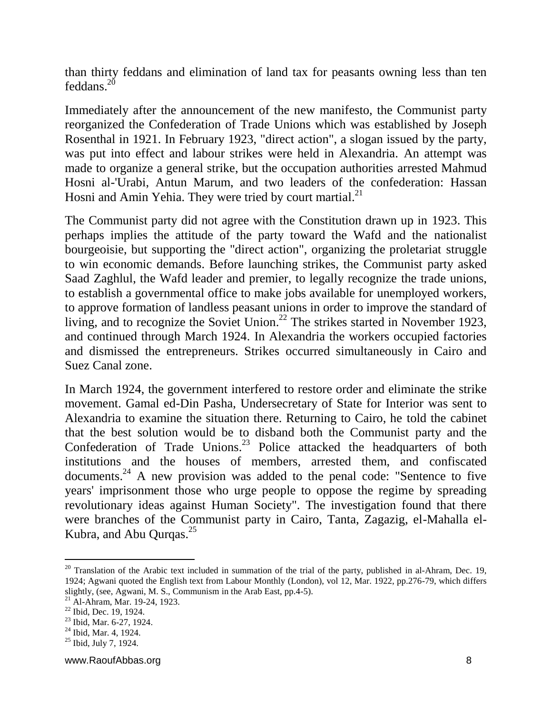than thirty feddans and elimination of land tax for peasants owning less than ten  $f$ eddans<sup>20</sup>

Immediately after the announcement of the new manifesto, the Communist party reorganized the Confederation of Trade Unions which was established by Joseph Rosenthal in 1921. In February 1923, "direct action", a slogan issued by the party, was put into effect and labour strikes were held in Alexandria. An attempt was made to organize a general strike, but the occupation authorities arrested Mahmud Hosni al-'Urabi, Antun Marum, and two leaders of the confederation: Hassan Hosni and Amin Yehia. They were tried by court martial.<sup>21</sup>

The Communist party did not agree with the Constitution drawn up in 1923. This perhaps implies the attitude of the party toward the Wafd and the nationalist bourgeoisie, but supporting the "direct action", organizing the proletariat struggle to win economic demands. Before launching strikes, the Communist party asked Saad Zaghlul, the Wafd leader and premier, to legally recognize the trade unions, to establish a governmental office to make jobs available for unemployed workers, to approve formation of landless peasant unions in order to improve the standard of living, and to recognize the Soviet Union.<sup>22</sup> The strikes started in November 1923, and continued through March 1924. In Alexandria the workers occupied factories and dismissed the entrepreneurs. Strikes occurred simultaneously in Cairo and Suez Canal zone.

In March 1924, the government interfered to restore order and eliminate the strike movement. Gamal ed-Din Pasha, Undersecretary of State for Interior was sent to Alexandria to examine the situation there. Returning to Cairo, he told the cabinet that the best solution would be to disband both the Communist party and the Confederation of Trade Unions.<sup>23</sup> Police attacked the headquarters of both institutions and the houses of members, arrested them, and confiscated documents.<sup>24</sup> A new provision was added to the penal code: "Sentence to five years' imprisonment those who urge people to oppose the regime by spreading revolutionary ideas against Human Society". The investigation found that there were branches of the Communist party in Cairo, Tanta, Zagazig, el-Mahalla el-Kubra, and Abu Qurqas.<sup>25</sup>

 $20$  Translation of the Arabic text included in summation of the trial of the party, published in al-Ahram, Dec. 19, 1924; Agwani quoted the English text from Labour Monthly (London), vol 12, Mar. 1922, pp.276-79, which differs slightly, (see, Agwani, M. S., Communism in the Arab East, pp.4-5).

<sup>21</sup> Al-Ahram, Mar. 19-24, 1923.

<sup>22</sup> Ibid, Dec. 19, 1924.

<sup>23</sup> Ibid, Mar. 6-27, 1924.

 $24$  Ibid, Mar. 4, 1924.

 $25$  Ibid, July 7, 1924.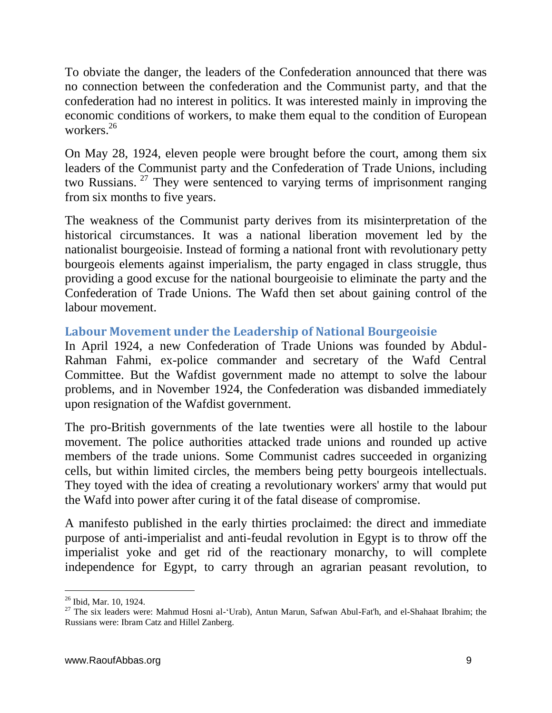To obviate the danger, the leaders of the Confederation announced that there was no connection between the confederation and the Communist party, and that the confederation had no interest in politics. It was interested mainly in improving the economic conditions of workers, to make them equal to the condition of European workers.<sup>26</sup>

On May 28, 1924, eleven people were brought before the court, among them six leaders of the Communist party and the Confederation of Trade Unions, including two Russians. <sup>27</sup> They were sentenced to varying terms of imprisonment ranging from six months to five years.

The weakness of the Communist party derives from its misinterpretation of the historical circumstances. It was a national liberation movement led by the nationalist bourgeoisie. Instead of forming a national front with revolutionary petty bourgeois elements against imperialism, the party engaged in class struggle, thus providing a good excuse for the national bourgeoisie to eliminate the party and the Confederation of Trade Unions. The Wafd then set about gaining control of the labour movement.

## **Labour Movement under the Leadership of National Bourgeoisie**

In April 1924, a new Confederation of Trade Unions was founded by Abdul-Rahman Fahmi, ex-police commander and secretary of the Wafd Central Committee. But the Wafdist government made no attempt to solve the labour problems, and in November 1924, the Confederation was disbanded immediately upon resignation of the Wafdist government.

The pro-British governments of the late twenties were all hostile to the labour movement. The police authorities attacked trade unions and rounded up active members of the trade unions. Some Communist cadres succeeded in organizing cells, but within limited circles, the members being petty bourgeois intellectuals. They toyed with the idea of creating a revolutionary workers' army that would put the Wafd into power after curing it of the fatal disease of compromise.

A manifesto published in the early thirties proclaimed: the direct and immediate purpose of anti-imperialist and anti-feudal revolution in Egypt is to throw off the imperialist yoke and get rid of the reactionary monarchy, to will complete independence for Egypt, to carry through an agrarian peasant revolution, to

l <sup>26</sup> Ibid, Mar. 10, 1924.

<sup>&</sup>lt;sup>27</sup> The six leaders were: Mahmud Hosni al-'Urab), Antun Marun, Safwan Abul-Fat'h, and el-Shahaat Ibrahim; the Russians were: Ibram Catz and Hillel Zanberg.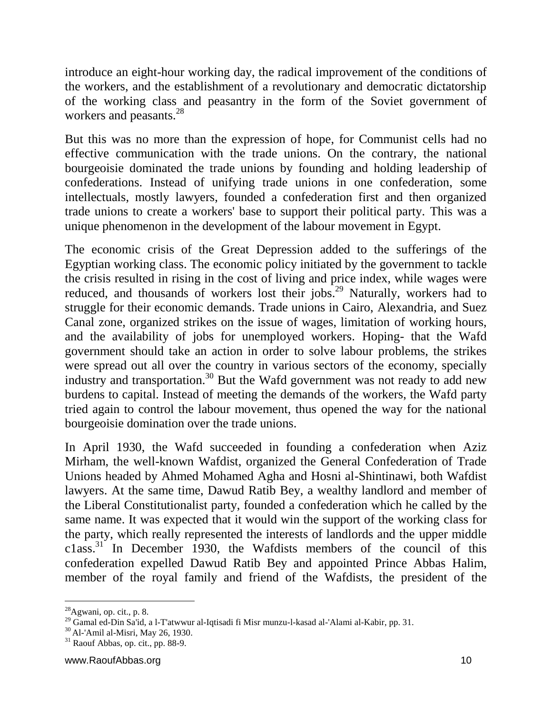introduce an eight-hour working day, the radical improvement of the conditions of the workers, and the establishment of a revolutionary and democratic dictatorship of the working class and peasantry in the form of the Soviet government of workers and peasants.<sup>28</sup>

But this was no more than the expression of hope, for Communist cells had no effective communication with the trade unions. On the contrary, the national bourgeoisie dominated the trade unions by founding and holding leadership of confederations. Instead of unifying trade unions in one confederation, some intellectuals, mostly lawyers, founded a confederation first and then organized trade unions to create a workers' base to support their political party. This was a unique phenomenon in the development of the labour movement in Egypt.

The economic crisis of the Great Depression added to the sufferings of the Egyptian working class. The economic policy initiated by the government to tackle the crisis resulted in rising in the cost of living and price index, while wages were reduced, and thousands of workers lost their jobs.<sup>29</sup> Naturally, workers had to struggle for their economic demands. Trade unions in Cairo, Alexandria, and Suez Canal zone, organized strikes on the issue of wages, limitation of working hours, and the availability of jobs for unemployed workers. Hoping- that the Wafd government should take an action in order to solve labour problems, the strikes were spread out all over the country in various sectors of the economy, specially industry and transportation.<sup>30</sup> But the Wafd government was not ready to add new burdens to capital. Instead of meeting the demands of the workers, the Wafd party tried again to control the labour movement, thus opened the way for the national bourgeoisie domination over the trade unions.

In April 1930, the Wafd succeeded in founding a confederation when Aziz Mirham, the well-known Wafdist, organized the General Confederation of Trade Unions headed by Ahmed Mohamed Agha and Hosni al-Shintinawi, both Wafdist lawyers. At the same time, Dawud Ratib Bey, a wealthy landlord and member of the Liberal Constitutionalist party, founded a confederation which he called by the same name. It was expected that it would win the support of the working class for the party, which really represented the interests of landlords and the upper middle c1ass.<sup>31</sup> In December 1930, the Wafdists members of the council of this confederation expelled Dawud Ratib Bey and appointed Prince Abbas Halim, member of the royal family and friend of the Wafdists, the president of the

 $^{28}$ Agwani, op. cit., p. 8.

<sup>&</sup>lt;sup>29</sup> Gamal ed-Din Sa'id, a l-T'atwwur al-Iqtisadi fi Misr munzu-l-kasad al-'Alami al-Kabir, pp. 31.

<sup>30</sup> Al-'Amil al-Misri, May 26, 1930.

 $31$  Raouf Abbas, op. cit., pp. 88-9.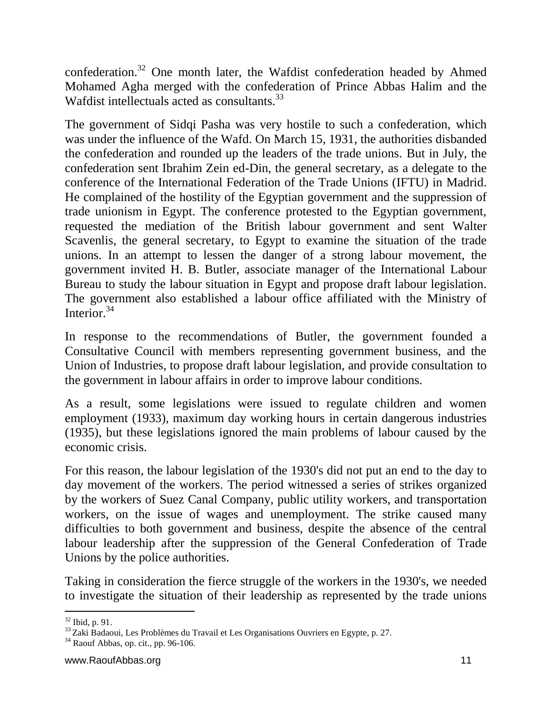confederation.<sup>32</sup> One month later, the Wafdist confederation headed by Ahmed Mohamed Agha merged with the confederation of Prince Abbas Halim and the Wafdist intellectuals acted as consultants.<sup>33</sup>

The government of Sidqi Pasha was very hostile to such a confederation, which was under the influence of the Wafd. On March 15, 1931, the authorities disbanded the confederation and rounded up the leaders of the trade unions. But in July, the confederation sent Ibrahim Zein ed-Din, the general secretary, as a delegate to the conference of the International Federation of the Trade Unions (IFTU) in Madrid. He complained of the hostility of the Egyptian government and the suppression of trade unionism in Egypt. The conference protested to the Egyptian government, requested the mediation of the British labour government and sent Walter Scavenlis, the general secretary, to Egypt to examine the situation of the trade unions. In an attempt to lessen the danger of a strong labour movement, the government invited H. B. Butler, associate manager of the International Labour Bureau to study the labour situation in Egypt and propose draft labour legislation. The government also established a labour office affiliated with the Ministry of Interior.<sup>34</sup>

In response to the recommendations of Butler, the government founded a Consultative Council with members representing government business, and the Union of Industries, to propose draft labour legislation, and provide consultation to the government in labour affairs in order to improve labour conditions.

As a result, some legislations were issued to regulate children and women employment (1933), maximum day working hours in certain dangerous industries (1935), but these legislations ignored the main problems of labour caused by the economic crisis.

For this reason, the labour legislation of the 1930's did not put an end to the day to day movement of the workers. The period witnessed a series of strikes organized by the workers of Suez Canal Company, public utility workers, and transportation workers, on the issue of wages and unemployment. The strike caused many difficulties to both government and business, despite the absence of the central labour leadership after the suppression of the General Confederation of Trade Unions by the police authorities.

Taking in consideration the fierce struggle of the workers in the 1930's, we needed to investigate the situation of their leadership as represented by the trade unions

 $\overline{a}$  $32$  Ibid, p. 91.

 $33$ Zaki Badaoui, Les Problèmes du Travail et Les Organisations Ouvriers en Egypte, p. 27.

 $34$  Raouf Abbas, op. cit., pp. 96-106.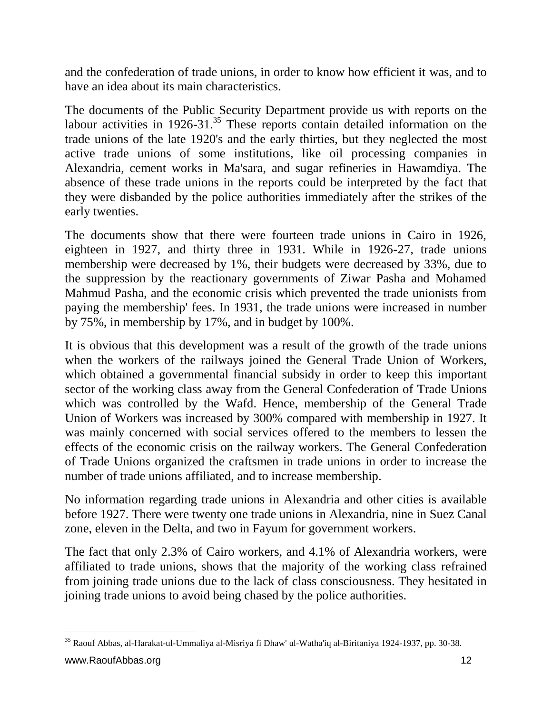and the confederation of trade unions, in order to know how efficient it was, and to have an idea about its main characteristics.

The documents of the Public Security Department provide us with reports on the labour activities in  $1926-31$ .<sup>35</sup> These reports contain detailed information on the trade unions of the late 1920's and the early thirties, but they neglected the most active trade unions of some institutions, like oil processing companies in Alexandria, cement works in Ma'sara, and sugar refineries in Hawamdiya. The absence of these trade unions in the reports could be interpreted by the fact that they were disbanded by the police authorities immediately after the strikes of the early twenties.

The documents show that there were fourteen trade unions in Cairo in 1926, eighteen in 1927, and thirty three in 1931. While in 1926-27, trade unions membership were decreased by 1%, their budgets were decreased by 33%, due to the suppression by the reactionary governments of Ziwar Pasha and Mohamed Mahmud Pasha, and the economic crisis which prevented the trade unionists from paying the membership' fees. In 1931, the trade unions were increased in number by 75%, in membership by 17%, and in budget by 100%.

It is obvious that this development was a result of the growth of the trade unions when the workers of the railways joined the General Trade Union of Workers, which obtained a governmental financial subsidy in order to keep this important sector of the working class away from the General Confederation of Trade Unions which was controlled by the Wafd. Hence, membership of the General Trade Union of Workers was increased by 300% compared with membership in 1927. It was mainly concerned with social services offered to the members to lessen the effects of the economic crisis on the railway workers. The General Confederation of Trade Unions organized the craftsmen in trade unions in order to increase the number of trade unions affiliated, and to increase membership.

No information regarding trade unions in Alexandria and other cities is available before 1927. There were twenty one trade unions in Alexandria, nine in Suez Canal zone, eleven in the Delta, and two in Fayum for government workers.

The fact that only 2.3% of Cairo workers, and 4.1% of Alexandria workers, were affiliated to trade unions, shows that the majority of the working class refrained from joining trade unions due to the lack of class consciousness. They hesitated in joining trade unions to avoid being chased by the police authorities.

 $\overline{a}$ <sup>35</sup> Raouf Abbas, al-Harakat-ul-Ummaliya al-Misriya fi Dhaw' ul-Watha'iq al-Biritaniya 1924-1937, pp. 30-38.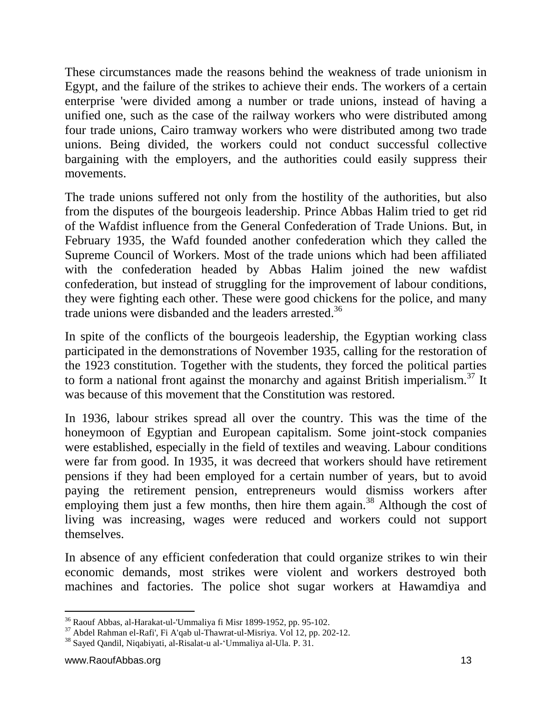These circumstances made the reasons behind the weakness of trade unionism in Egypt, and the failure of the strikes to achieve their ends. The workers of a certain enterprise 'were divided among a number or trade unions, instead of having a unified one, such as the case of the railway workers who were distributed among four trade unions, Cairo tramway workers who were distributed among two trade unions. Being divided, the workers could not conduct successful collective bargaining with the employers, and the authorities could easily suppress their movements.

The trade unions suffered not only from the hostility of the authorities, but also from the disputes of the bourgeois leadership. Prince Abbas Halim tried to get rid of the Wafdist influence from the General Confederation of Trade Unions. But, in February 1935, the Wafd founded another confederation which they called the Supreme Council of Workers. Most of the trade unions which had been affiliated with the confederation headed by Abbas Halim joined the new wafdist confederation, but instead of struggling for the improvement of labour conditions, they were fighting each other. These were good chickens for the police, and many trade unions were disbanded and the leaders arrested.<sup>36</sup>

In spite of the conflicts of the bourgeois leadership, the Egyptian working class participated in the demonstrations of November 1935, calling for the restoration of the 1923 constitution. Together with the students, they forced the political parties to form a national front against the monarchy and against British imperialism.<sup>37</sup> It was because of this movement that the Constitution was restored.

In 1936, labour strikes spread all over the country. This was the time of the honeymoon of Egyptian and European capitalism. Some joint-stock companies were established, especially in the field of textiles and weaving. Labour conditions were far from good. In 1935, it was decreed that workers should have retirement pensions if they had been employed for a certain number of years, but to avoid paying the retirement pension, entrepreneurs would dismiss workers after employing them just a few months, then hire them again.<sup>38</sup> Although the cost of living was increasing, wages were reduced and workers could not support themselves.

In absence of any efficient confederation that could organize strikes to win their economic demands, most strikes were violent and workers destroyed both machines and factories. The police shot sugar workers at Hawamdiya and

 $\overline{a}$ 

<sup>36</sup> Raouf Abbas, al-Harakat-ul-'Ummaliya fi Misr 1899-1952, pp. 95-102.

<sup>37</sup> Abdel Rahman el-Rafi', Fi A'qab ul-Thawrat-ul-Misriya. Vol 12, pp. 202-12.

<sup>38</sup> Sayed Qandil, Niqabiyati, al-Risalat-u al-'Ummaliya al-Ula. P. 31.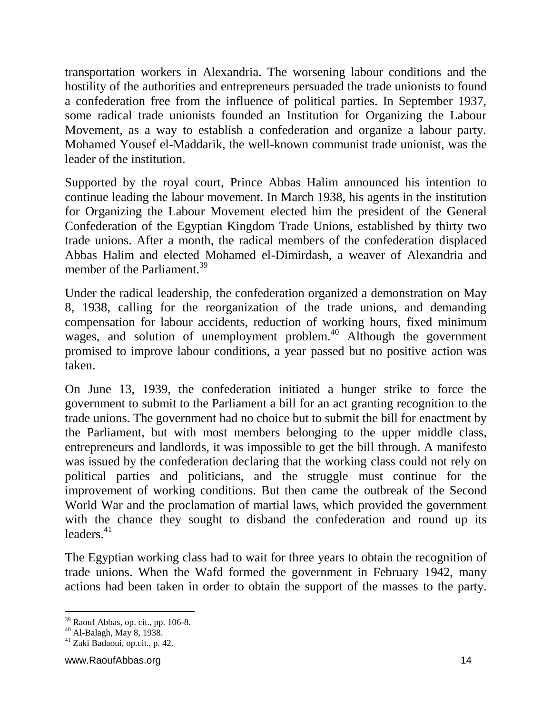transportation workers in Alexandria. The worsening labour conditions and the hostility of the authorities and entrepreneurs persuaded the trade unionists to found a confederation free from the influence of political parties. In September 1937, some radical trade unionists founded an Institution for Organizing the Labour Movement, as a way to establish a confederation and organize a labour party. Mohamed Yousef el-Maddarik, the well-known communist trade unionist, was the leader of the institution.

Supported by the royal court, Prince Abbas Halim announced his intention to continue leading the labour movement. In March 1938, his agents in the institution for Organizing the Labour Movement elected him the president of the General Confederation of the Egyptian Kingdom Trade Unions, established by thirty two trade unions. After a month, the radical members of the confederation displaced Abbas Halim and elected Mohamed el-Dimirdash, a weaver of Alexandria and member of the Parliament.<sup>39</sup>

Under the radical leadership, the confederation organized a demonstration on May 8, 1938, calling for the reorganization of the trade unions, and demanding compensation for labour accidents, reduction of working hours, fixed minimum wages, and solution of unemployment problem.<sup>40</sup> Although the government promised to improve labour conditions, a year passed but no positive action was taken.

On June 13, 1939, the confederation initiated a hunger strike to force the government to submit to the Parliament a bill for an act granting recognition to the trade unions. The government had no choice but to submit the bill for enactment by the Parliament, but with most members belonging to the upper middle class, entrepreneurs and landlords, it was impossible to get the bill through. A manifesto was issued by the confederation declaring that the working class could not rely on political parties and politicians, and the struggle must continue for the improvement of working conditions. But then came the outbreak of the Second World War and the proclamation of martial laws, which provided the government with the chance they sought to disband the confederation and round up its  $leaders<sup>41</sup>$ 

The Egyptian working class had to wait for three years to obtain the recognition of trade unions. When the Wafd formed the government in February 1942, many actions had been taken in order to obtain the support of the masses to the party.

 $\overline{a}$ 

 $39$  Raouf Abbas, op. cit., pp. 106-8.

 $^{40}$  Al-Balagh, May 8, 1938.

 $41$  Zaki Badaoui, op.cit., p. 42.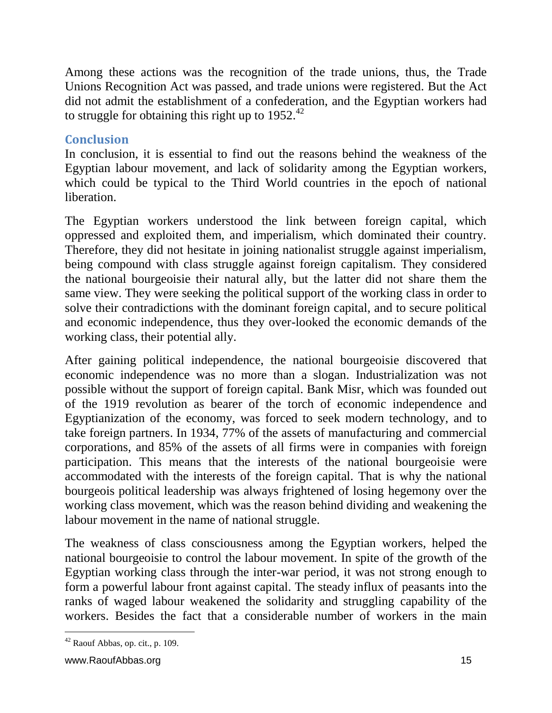Among these actions was the recognition of the trade unions, thus, the Trade Unions Recognition Act was passed, and trade unions were registered. But the Act did not admit the establishment of a confederation, and the Egyptian workers had to struggle for obtaining this right up to  $1952.<sup>42</sup>$ 

## **Conclusion**

In conclusion, it is essential to find out the reasons behind the weakness of the Egyptian labour movement, and lack of solidarity among the Egyptian workers, which could be typical to the Third World countries in the epoch of national liberation.

The Egyptian workers understood the link between foreign capital, which oppressed and exploited them, and imperialism, which dominated their country. Therefore, they did not hesitate in joining nationalist struggle against imperialism, being compound with class struggle against foreign capitalism. They considered the national bourgeoisie their natural ally, but the latter did not share them the same view. They were seeking the political support of the working class in order to solve their contradictions with the dominant foreign capital, and to secure political and economic independence, thus they over-looked the economic demands of the working class, their potential ally.

After gaining political independence, the national bourgeoisie discovered that economic independence was no more than a slogan. Industrialization was not possible without the support of foreign capital. Bank Misr, which was founded out of the 1919 revolution as bearer of the torch of economic independence and Egyptianization of the economy, was forced to seek modern technology, and to take foreign partners. In 1934, 77% of the assets of manufacturing and commercial corporations, and 85% of the assets of all firms were in companies with foreign participation. This means that the interests of the national bourgeoisie were accommodated with the interests of the foreign capital. That is why the national bourgeois political leadership was always frightened of losing hegemony over the working class movement, which was the reason behind dividing and weakening the labour movement in the name of national struggle.

The weakness of class consciousness among the Egyptian workers, helped the national bourgeoisie to control the labour movement. In spite of the growth of the Egyptian working class through the inter-war period, it was not strong enough to form a powerful labour front against capital. The steady influx of peasants into the ranks of waged labour weakened the solidarity and struggling capability of the workers. Besides the fact that a considerable number of workers in the main

 $\overline{a}$  $42$  Raouf Abbas, op. cit., p. 109.